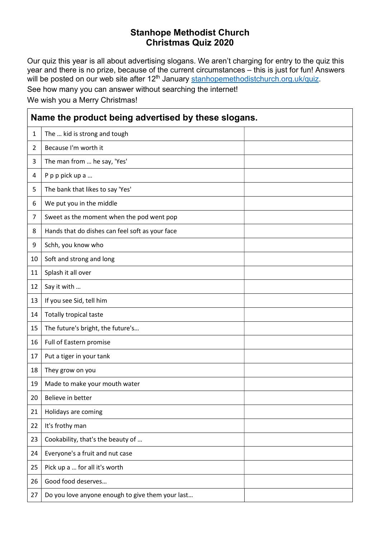## Stanhope Methodist Church Christmas Quiz 2020

Our quiz this year is all about advertising slogans. We aren't charging for entry to the quiz this year and there is no prize, because of the current circumstances – this is just for fun! Answers will be posted on our web site after 12<sup>th</sup> January <u>stanhopemethodistchurch.org.uk/quiz</u>.

See how many you can answer without searching the internet!

We wish you a Merry Christmas!

| Name the product being advertised by these slogans. |                                                  |  |  |
|-----------------------------------------------------|--------------------------------------------------|--|--|
| $\mathbf{1}$                                        | The  kid is strong and tough                     |  |  |
| $\overline{2}$                                      | Because I'm worth it                             |  |  |
| 3                                                   | The man from  he say, 'Yes'                      |  |  |
| 4                                                   | P p p pick up a                                  |  |  |
| 5                                                   | The bank that likes to say 'Yes'                 |  |  |
| 6                                                   | We put you in the middle                         |  |  |
| 7                                                   | Sweet as the moment when the pod went pop        |  |  |
| 8                                                   | Hands that do dishes can feel soft as your face  |  |  |
| 9                                                   | Schh, you know who                               |  |  |
| 10                                                  | Soft and strong and long                         |  |  |
| 11                                                  | Splash it all over                               |  |  |
| 12                                                  | Say it with                                      |  |  |
| 13                                                  | If you see Sid, tell him                         |  |  |
| 14                                                  | Totally tropical taste                           |  |  |
| 15                                                  | The future's bright, the future's                |  |  |
| 16                                                  | Full of Eastern promise                          |  |  |
| 17                                                  | Put a tiger in your tank                         |  |  |
| 18                                                  | They grow on you                                 |  |  |
| 19                                                  | Made to make your mouth water                    |  |  |
| 20 <sub>2</sub>                                     | Believe in better                                |  |  |
| 21                                                  | Holidays are coming                              |  |  |
| 22                                                  | It's frothy man                                  |  |  |
| 23                                                  | Cookability, that's the beauty of                |  |  |
| 24                                                  | Everyone's a fruit and nut case                  |  |  |
| 25                                                  | Pick up a  for all it's worth                    |  |  |
| 26                                                  | Good food deserves                               |  |  |
| 27                                                  | Do you love anyone enough to give them your last |  |  |